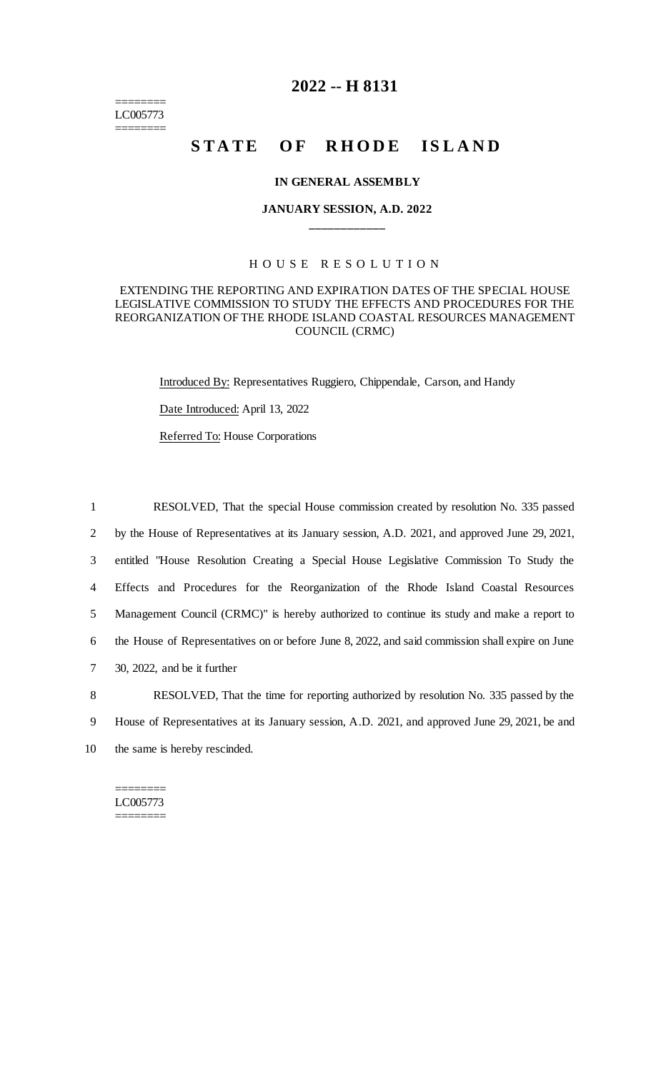======== LC005773 ========

## **2022 -- H 8131**

# **STATE OF RHODE ISLAND**

### **IN GENERAL ASSEMBLY**

## **JANUARY SESSION, A.D. 2022 \_\_\_\_\_\_\_\_\_\_\_\_**

## H O U S E R E S O L U T I O N

### EXTENDING THE REPORTING AND EXPIRATION DATES OF THE SPECIAL HOUSE LEGISLATIVE COMMISSION TO STUDY THE EFFECTS AND PROCEDURES FOR THE REORGANIZATION OF THE RHODE ISLAND COASTAL RESOURCES MANAGEMENT COUNCIL (CRMC)

Introduced By: Representatives Ruggiero, Chippendale, Carson, and Handy

Date Introduced: April 13, 2022

Referred To: House Corporations

 RESOLVED, That the special House commission created by resolution No. 335 passed by the House of Representatives at its January session, A.D. 2021, and approved June 29, 2021, entitled "House Resolution Creating a Special House Legislative Commission To Study the Effects and Procedures for the Reorganization of the Rhode Island Coastal Resources Management Council (CRMC)" is hereby authorized to continue its study and make a report to the House of Representatives on or before June 8, 2022, and said commission shall expire on June 30, 2022, and be it further

8 RESOLVED, That the time for reporting authorized by resolution No. 335 passed by the 9 House of Representatives at its January session, A.D. 2021, and approved June 29, 2021, be and 10 the same is hereby rescinded.

## ======== LC005773

========